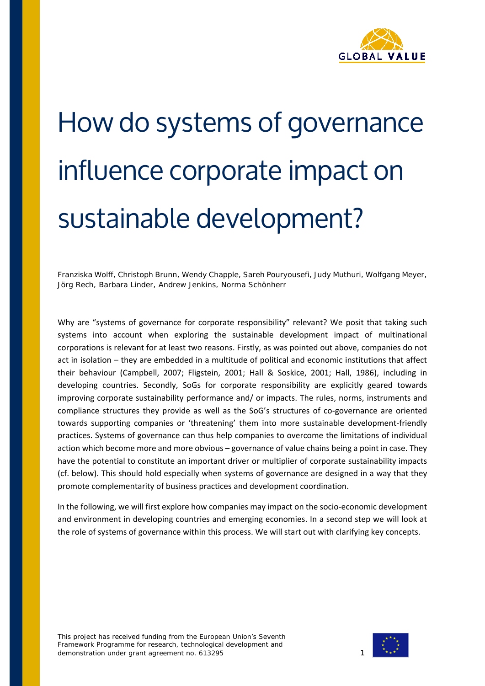

# How do systems of governance influence corporate impact on sustainable development?

*Franziska Wolff, Christoph Brunn, Wendy Chapple, Sareh Pouryousefi, Judy Muthuri, Wolfgang Meyer, Jörg Rech, Barbara Linder, Andrew Jenkins, Norma Schönherr*

Why are "systems of governance for corporate responsibility" relevant? We posit that taking such systems into account when exploring the sustainable development impact of multinational corporations is relevant for at least two reasons. Firstly, as was pointed out above, companies do not act in isolation – they are embedded in a multitude of political and economic institutions that affect their behaviour (Campbell, 2007; Fligstein, 2001; Hall & Soskice, 2001; Hall, 1986), including in developing countries. Secondly, SoGs for corporate responsibility are explicitly geared towards improving corporate sustainability performance and/ or impacts. The rules, norms, instruments and compliance structures they provide as well as the SoG's structures of co-governance are oriented towards supporting companies or 'threatening' them into more sustainable development-friendly practices. Systems of governance can thus help companies to overcome the limitations of individual action which become more and more obvious – governance of value chains being a point in case. They have the potential to constitute an important driver or multiplier of corporate sustainability impacts (cf. below). This should hold especially when systems of governance are designed in a way that they promote complementarity of business practices and development coordination.

In the following, we will first explore how companies may impact on the socio-economic development and environment in developing countries and emerging economies. In a second step we will look at the role of systems of governance within this process. We will start out with clarifying key concepts.

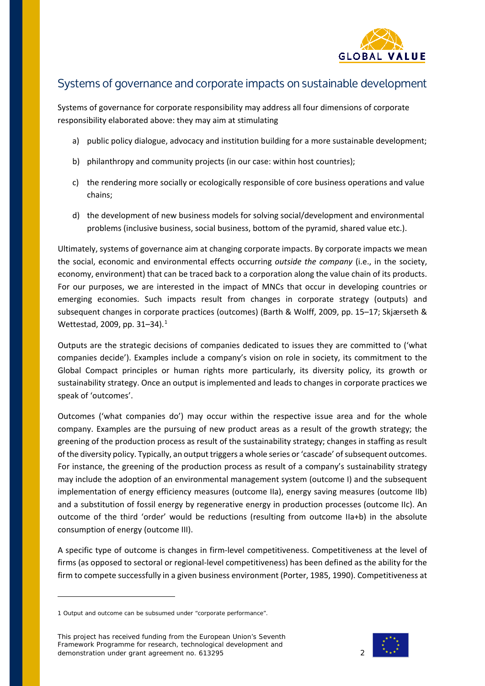

## Systems of governance and corporate impacts on sustainable development

Systems of governance for corporate responsibility may address all four dimensions of corporate responsibility elaborated above: they may aim at stimulating

- a) public policy dialogue, advocacy and institution building for a more sustainable development;
- b) philanthropy and community projects (in our case: within host countries);
- c) the rendering more socially or ecologically responsible of core business operations and value chains;
- d) the development of new business models for solving social/development and environmental problems (inclusive business, social business, bottom of the pyramid, shared value etc.).

Ultimately, systems of governance aim at changing corporate impacts. By corporate impacts we mean the social, economic and environmental effects occurring *outside the company* (i.e., in the society, economy, environment) that can be traced back to a corporation along the value chain of its products. For our purposes, we are interested in the impact of MNCs that occur in developing countries or emerging economies. Such impacts result from changes in corporate strategy (outputs) and subsequent changes in corporate practices (outcomes) (Barth & Wolff, 2009, pp. 15–17; Skjærseth & Wettestad, 2009, pp. 31–34). [1](#page-1-0)

Outputs are the strategic decisions of companies dedicated to issues they are committed to ('what companies decide'). Examples include a company's vision on role in society, its commitment to the Global Compact principles or human rights more particularly, its diversity policy, its growth or sustainability strategy. Once an output is implemented and leads to changes in corporate practices we speak of 'outcomes'.

Outcomes ('what companies do') may occur within the respective issue area and for the whole company. Examples are the pursuing of new product areas as a result of the growth strategy; the greening of the production process as result of the sustainability strategy; changes in staffing as result of the diversity policy. Typically, an output triggers a whole series or 'cascade' of subsequent outcomes. For instance, the greening of the production process as result of a company's sustainability strategy may include the adoption of an environmental management system (outcome I) and the subsequent implementation of energy efficiency measures (outcome IIa), energy saving measures (outcome IIb) and a substitution of fossil energy by regenerative energy in production processes (outcome IIc). An outcome of the third 'order' would be reductions (resulting from outcome IIa+b) in the absolute consumption of energy (outcome III).

A specific type of outcome is changes in firm-level competitiveness. Competitiveness at the level of firms (as opposed to sectoral or regional-level competitiveness) has been defined as the ability for the firm to compete successfully in a given business environment (Porter, 1985, 1990). Competitiveness at

i,

This project has received funding from the European Union's Seventh Framework Programme for research, technological development and demonstration under grant agreement no. 613295 2



<span id="page-1-0"></span><sup>1</sup> Output and outcome can be subsumed under "corporate performance".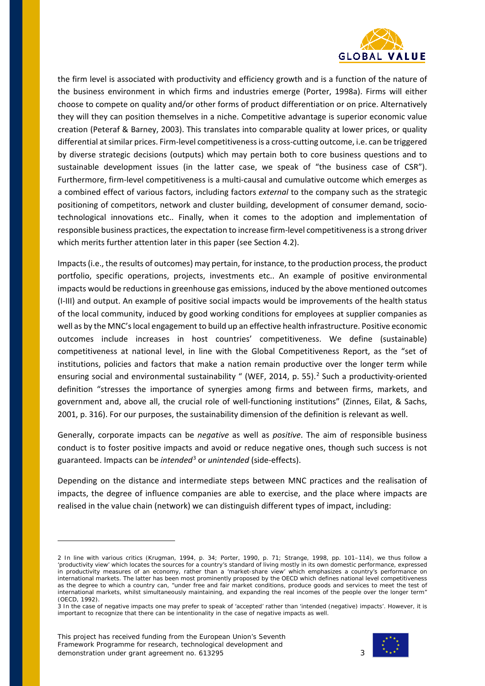

the firm level is associated with productivity and efficiency growth and is a function of the nature of the business environment in which firms and industries emerge (Porter, 1998a). Firms will either choose to compete on quality and/or other forms of product differentiation or on price. Alternatively they will they can position themselves in a niche. Competitive advantage is superior economic value creation (Peteraf & Barney, 2003). This translates into comparable quality at lower prices, or quality differential at similar prices. Firm-level competitiveness is a cross-cutting outcome, i.e. can be triggered by diverse strategic decisions (outputs) which may pertain both to core business questions and to sustainable development issues (in the latter case, we speak of "the business case of CSR"). Furthermore, firm-level competitiveness is a multi-causal and cumulative outcome which emerges as a combined effect of various factors, including factors *external* to the company such as the strategic positioning of competitors, network and cluster building, development of consumer demand, sociotechnological innovations etc.. Finally, when it comes to the adoption and implementation of responsible business practices, the expectation to increase firm-level competitiveness is a strong driver which merits further attention later in this paper (see Section [4.2\)](#page-13-0).

Impacts(i.e., the results of outcomes) may pertain, for instance, to the production process, the product portfolio, specific operations, projects, investments etc.. An example of positive environmental impacts would be reductions in greenhouse gas emissions, induced by the above mentioned outcomes (I-III) and output. An example of positive social impacts would be improvements of the health status of the local community, induced by good working conditions for employees at supplier companies as well as by the MNC's local engagement to build up an effective health infrastructure. Positive economic outcomes include increases in host countries' competitiveness. We define (sustainable) competitiveness at national level, in line with the Global Competitiveness Report, as the "set of institutions, policies and factors that make a nation remain productive over the longer term while ensuring social and environmental sustainability " (WEF, [2](#page-2-0)014, p. 55).<sup>2</sup> Such a productivity-oriented definition "stresses the importance of synergies among firms and between firms, markets, and government and, above all, the crucial role of well-functioning institutions" (Zinnes, Eilat, & Sachs, 2001, p. 316). For our purposes, the sustainability dimension of the definition is relevant as well.

Generally, corporate impacts can be *negative* as well as *positive*. The aim of responsible business conduct is to foster positive impacts and avoid or reduce negative ones, though such success is not guaranteed. Impacts can be *intended*[3](#page-2-1) or *unintended* (side-effects).

Depending on the distance and intermediate steps between MNC practices and the realisation of impacts, the degree of influence companies are able to exercise, and the place where impacts are realised in the value chain (network) we can distinguish different types of impact, including:



<span id="page-2-0"></span><sup>2</sup> In line with various critics (Krugman, 1994, p. 34; Porter, 1990, p. 71; Strange, 1998, pp. 101–114), we thus follow a 'productivity view' which locates the sources for a country's standard of living mostly in its own domestic performance, expressed in productivity measures of an economy, rather than a 'market-share view' which emphasizes a country's performance on international markets. The latter has been most prominently proposed by the OECD which defines national level competitiveness as the degree to which a country can, "under free and fair market conditions, produce goods and services to meet the test of international markets, whilst simultaneously maintaining, and expanding the real incomes of the people over the longer term" (OECD, 1992).

<span id="page-2-1"></span><sup>3</sup> In the case of negative impacts one may prefer to speak of 'accepted' rather than 'intended (negative) impacts'. However, it is important to recognize that there can be intentionality in the case of negative impacts as well.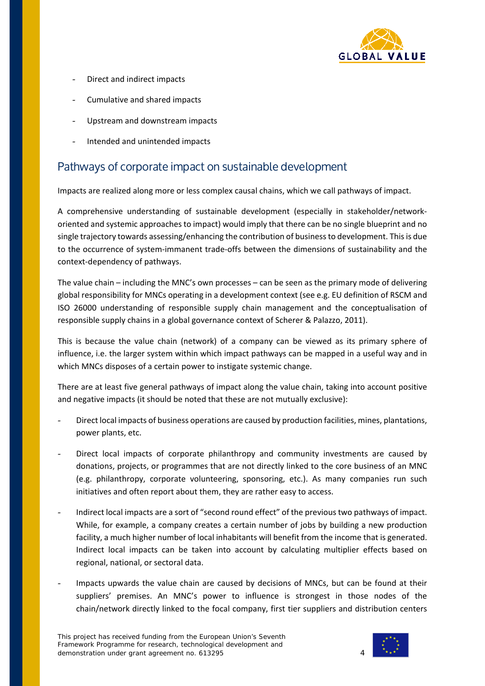

- Direct and indirect impacts
- Cumulative and shared impacts
- Upstream and downstream impacts
- Intended and unintended impacts

# Pathways of corporate impact on sustainable development

Impacts are realized along more or less complex causal chains, which we call pathways of impact.

A comprehensive understanding of sustainable development (especially in stakeholder/networkoriented and systemic approaches to impact) would imply that there can be no single blueprint and no single trajectory towards assessing/enhancing the contribution of business to development. This is due to the occurrence of system-immanent trade-offs between the dimensions of sustainability and the context-dependency of pathways.

The value chain – including the MNC's own processes – can be seen as the primary mode of delivering global responsibility for MNCs operating in a development context (see e.g. EU definition of RSCM and ISO 26000 understanding of responsible supply chain management and the conceptualisation of responsible supply chains in a global governance context of Scherer & Palazzo, 2011).

This is because the value chain (network) of a company can be viewed as its primary sphere of influence, i.e. the larger system within which impact pathways can be mapped in a useful way and in which MNCs disposes of a certain power to instigate systemic change.

There are at least five general pathways of impact along the value chain, taking into account positive and negative impacts (it should be noted that these are not mutually exclusive):

- Direct local impacts of business operations are caused by production facilities, mines, plantations, power plants, etc.
- Direct local impacts of corporate philanthropy and community investments are caused by donations, projects, or programmes that are not directly linked to the core business of an MNC (e.g. philanthropy, corporate volunteering, sponsoring, etc.). As many companies run such initiatives and often report about them, they are rather easy to access.
- Indirect local impacts are a sort of "second round effect" of the previous two pathways of impact. While, for example, a company creates a certain number of jobs by building a new production facility, a much higher number of local inhabitants will benefit from the income that is generated. Indirect local impacts can be taken into account by calculating multiplier effects based on regional, national, or sectoral data.
- Impacts upwards the value chain are caused by decisions of MNCs, but can be found at their suppliers' premises. An MNC's power to influence is strongest in those nodes of the chain/network directly linked to the focal company, first tier suppliers and distribution centers

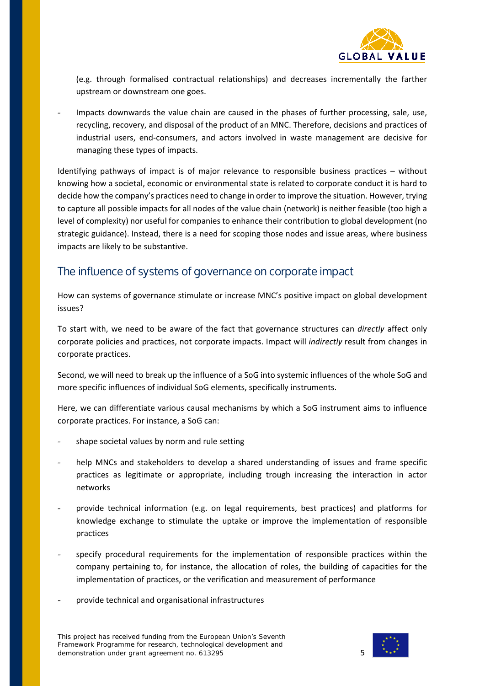

(e.g. through formalised contractual relationships) and decreases incrementally the farther upstream or downstream one goes.

Impacts downwards the value chain are caused in the phases of further processing, sale, use, recycling, recovery, and disposal of the product of an MNC. Therefore, decisions and practices of industrial users, end-consumers, and actors involved in waste management are decisive for managing these types of impacts.

Identifying pathways of impact is of major relevance to responsible business practices – without knowing how a societal, economic or environmental state is related to corporate conduct it is hard to decide how the company's practices need to change in order to improve the situation. However, trying to capture all possible impacts for all nodes of the value chain (network) is neither feasible (too high a level of complexity) nor useful for companies to enhance their contribution to global development (no strategic guidance). Instead, there is a need for scoping those nodes and issue areas, where business impacts are likely to be substantive.

## The influence of systems of governance on corporate impact

How can systems of governance stimulate or increase MNC's positive impact on global development issues?

To start with, we need to be aware of the fact that governance structures can *directly* affect only corporate policies and practices, not corporate impacts. Impact will *indirectly* result from changes in corporate practices.

Second, we will need to break up the influence of a SoG into systemic influences of the whole SoG and more specific influences of individual SoG elements, specifically instruments.

Here, we can differentiate various causal mechanisms by which a SoG instrument aims to influence corporate practices. For instance, a SoG can:

- shape societal values by norm and rule setting
- help MNCs and stakeholders to develop a shared understanding of issues and frame specific practices as legitimate or appropriate, including trough increasing the interaction in actor networks
- provide technical information (e.g. on legal requirements, best practices) and platforms for knowledge exchange to stimulate the uptake or improve the implementation of responsible practices
- specify procedural requirements for the implementation of responsible practices within the company pertaining to, for instance, the allocation of roles, the building of capacities for the implementation of practices, or the verification and measurement of performance
- provide technical and organisational infrastructures

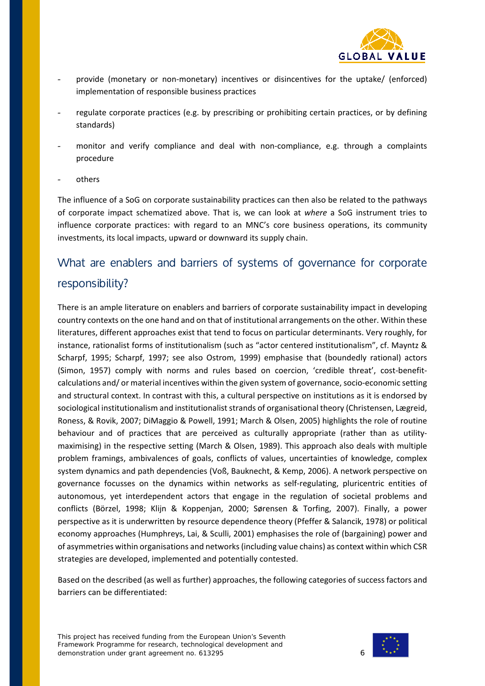

- provide (monetary or non-monetary) incentives or disincentives for the uptake/ (enforced) implementation of responsible business practices
- regulate corporate practices (e.g. by prescribing or prohibiting certain practices, or by defining standards)
- monitor and verify compliance and deal with non-compliance, e.g. through a complaints procedure
- others

The influence of a SoG on corporate sustainability practices can then also be related to the pathways of corporate impact schematized above. That is, we can look at *where* a SoG instrument tries to influence corporate practices: with regard to an MNC's core business operations, its community investments, its local impacts, upward or downward its supply chain.

# What are enablers and barriers of systems of governance for corporate responsibility?

There is an ample literature on enablers and barriers of corporate sustainability impact in developing country contexts on the one hand and on that of institutional arrangements on the other. Within these literatures, different approaches exist that tend to focus on particular determinants. Very roughly, for instance, rationalist forms of institutionalism (such as "actor centered institutionalism", cf. Mayntz & Scharpf, 1995; Scharpf, 1997; see also Ostrom, 1999) emphasise that (boundedly rational) actors (Simon, 1957) comply with norms and rules based on coercion, 'credible threat', cost-benefitcalculations and/ or material incentives within the given system of governance, socio-economic setting and structural context. In contrast with this, a cultural perspective on institutions as it is endorsed by sociological institutionalism and institutionalist strands of organisational theory (Christensen, Lægreid, Roness, & Rovik, 2007; DiMaggio & Powell, 1991; March & Olsen, 2005) highlights the role of routine behaviour and of practices that are perceived as culturally appropriate (rather than as utilitymaximising) in the respective setting (March & Olsen, 1989). This approach also deals with multiple problem framings, ambivalences of goals, conflicts of values, uncertainties of knowledge, complex system dynamics and path dependencies (Voß, Bauknecht, & Kemp, 2006). A network perspective on governance focusses on the dynamics within networks as self-regulating, pluricentric entities of autonomous, yet interdependent actors that engage in the regulation of societal problems and conflicts (Börzel, 1998; Klijn & Koppenjan, 2000; Sørensen & Torfing, 2007). Finally, a power perspective as it is underwritten by resource dependence theory (Pfeffer & Salancik, 1978) or political economy approaches (Humphreys, Lai, & Sculli, 2001) emphasises the role of (bargaining) power and of asymmetries within organisations and networks (including value chains) as context within which CSR strategies are developed, implemented and potentially contested.

Based on the described (as well as further) approaches, the following categories of success factors and barriers can be differentiated:

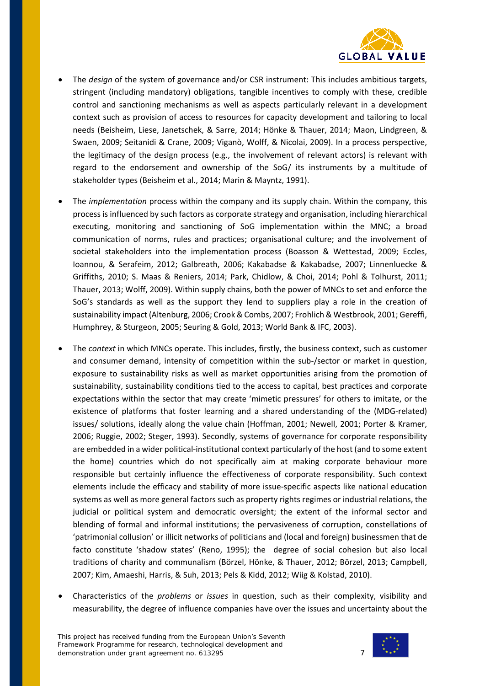

- The *design* of the system of governance and/or CSR instrument: This includes ambitious targets, stringent (including mandatory) obligations, tangible incentives to comply with these, credible control and sanctioning mechanisms as well as aspects particularly relevant in a development context such as provision of access to resources for capacity development and tailoring to local needs (Beisheim, Liese, Janetschek, & Sarre, 2014; Hönke & Thauer, 2014; Maon, Lindgreen, & Swaen, 2009; Seitanidi & Crane, 2009; Viganò, Wolff, & Nicolai, 2009). In a process perspective, the legitimacy of the design process (e.g., the involvement of relevant actors) is relevant with regard to the endorsement and ownership of the SoG/ its instruments by a multitude of stakeholder types (Beisheim et al., 2014; Marin & Mayntz, 1991).
- The *implementation* process within the company and its supply chain. Within the company, this process is influenced by such factors as corporate strategy and organisation, including hierarchical executing, monitoring and sanctioning of SoG implementation within the MNC; a broad communication of norms, rules and practices; organisational culture; and the involvement of societal stakeholders into the implementation process (Boasson & Wettestad, 2009; Eccles, Ioannou, & Serafeim, 2012; Galbreath, 2006; Kakabadse & Kakabadse, 2007; Linnenluecke & Griffiths, 2010; S. Maas & Reniers, 2014; Park, Chidlow, & Choi, 2014; Pohl & Tolhurst, 2011; Thauer, 2013; Wolff, 2009). Within supply chains, both the power of MNCs to set and enforce the SoG's standards as well as the support they lend to suppliers play a role in the creation of sustainability impact (Altenburg, 2006; Crook & Combs, 2007; Frohlich & Westbrook, 2001; Gereffi, Humphrey, & Sturgeon, 2005; Seuring & Gold, 2013; World Bank & IFC, 2003).
- The *context* in which MNCs operate. This includes, firstly, the business context, such as customer and consumer demand, intensity of competition within the sub-/sector or market in question, exposure to sustainability risks as well as market opportunities arising from the promotion of sustainability, sustainability conditions tied to the access to capital, best practices and corporate expectations within the sector that may create 'mimetic pressures' for others to imitate, or the existence of platforms that foster learning and a shared understanding of the (MDG-related) issues/ solutions, ideally along the value chain (Hoffman, 2001; Newell, 2001; Porter & Kramer, 2006; Ruggie, 2002; Steger, 1993). Secondly, systems of governance for corporate responsibility are embedded in a wider political-institutional context particularly of the host (and to some extent the home) countries which do not specifically aim at making corporate behaviour more responsible but certainly influence the effectiveness of corporate responsibility. Such context elements include the efficacy and stability of more issue-specific aspects like national education systems as well as more general factors such as property rights regimes or industrial relations, the judicial or political system and democratic oversight; the extent of the informal sector and blending of formal and informal institutions; the pervasiveness of corruption, constellations of 'patrimonial collusion' or illicit networks of politicians and (local and foreign) businessmen that de facto constitute 'shadow states' (Reno, 1995); the degree of social cohesion but also local traditions of charity and communalism (Börzel, Hönke, & Thauer, 2012; Börzel, 2013; Campbell, 2007; Kim, Amaeshi, Harris, & Suh, 2013; Pels & Kidd, 2012; Wiig & Kolstad, 2010).
- Characteristics of the *problems* or *issues* in question, such as their complexity, visibility and measurability, the degree of influence companies have over the issues and uncertainty about the

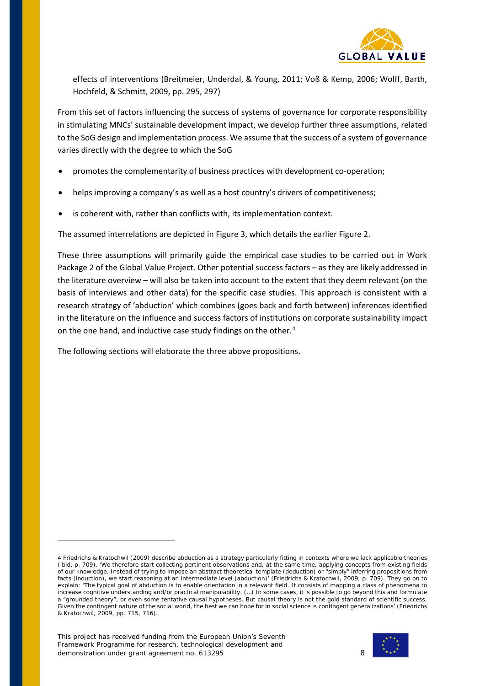

effects of interventions (Breitmeier, Underdal, & Young, 2011; Voß & Kemp, 2006; Wolff, Barth, Hochfeld, & Schmitt, 2009, pp. 295, 297)

From this set of factors influencing the success of systems of governance for corporate responsibility in stimulating MNCs' sustainable development impact, we develop further three assumptions, related to the SoG design and implementation process. We assume that the success of a system of governance varies directly with the degree to which the SoG

- promotes the complementarity of business practices with development co-operation;
- helps improving a company's as well as a host country's drivers of competitiveness;
- is coherent with, rather than conflicts with, its implementation context.

The assumed interrelations are depicted in Figure 3, which details the earlier Figure 2.

These three assumptions will primarily guide the empirical case studies to be carried out in Work Package 2 of the Global Value Project. Other potential success factors – as they are likely addressed in the literature overview – will also be taken into account to the extent that they deem relevant (on the basis of interviews and other data) for the specific case studies. This approach is consistent with a research strategy of 'abduction' which combines (goes back and forth between) inferences identified in the literature on the influence and success factors of institutions on corporate sustainability impact on the one hand, and inductive case study findings on the other.<sup>[4](#page-7-0)</sup>

The following sections will elaborate the three above propositions.



<span id="page-7-0"></span><sup>4</sup> Friedrichs & Kratochwil (2009) describe abduction as a strategy particularly fitting in contexts where we lack applicable theories (ibid, p. 709). 'We therefore start collecting pertinent observations and, at the same time, applying concepts from existing fields of our knowledge. Instead of trying to impose an abstract theoretical template (deduction) or "simply" inferring propositions from facts (induction), we start reasoning at an intermediate level (abduction)' (Friedrichs & Kratochwil, 2009, p. 709). They go on to explain: 'The typical goal of abduction is to enable orientation in a relevant field. It consists of mapping a class of phenomena to increase cognitive understanding and/or practical manipulability. (…) In some cases, it is possible to go beyond this and formulate a "grounded theory", or even some tentative causal hypotheses. But causal theory is not the gold standard of scientific success. Given the contingent nature of the social world, the best we can hope for in social science is contingent generalizations' (Friedrichs & Kratochwil, 2009, pp. 715, 716).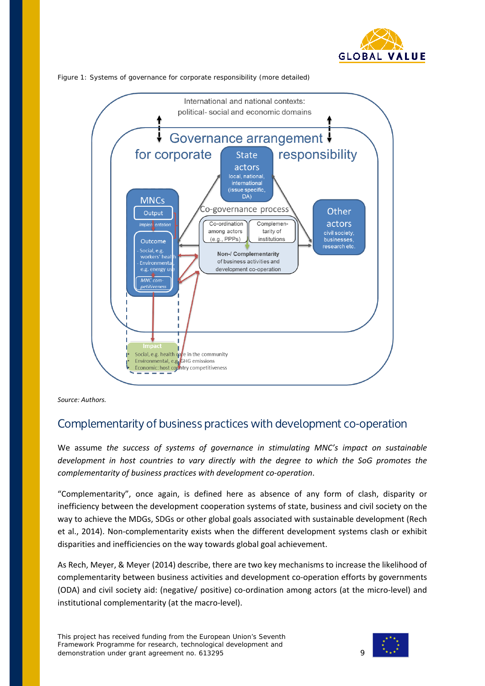





*Source: Authors.*

## Complementarity of business practices with development co-operation

We assume *the success of systems of governance in stimulating MNC's impact on sustainable development in host countries to vary directly with the degree to which the SoG promotes the complementarity of business practices with development co-operation*.

"Complementarity", once again, is defined here as absence of any form of clash, disparity or inefficiency between the development cooperation systems of state, business and civil society on the way to achieve the MDGs, SDGs or other global goals associated with sustainable development (Rech et al., 2014). Non-complementarity exists when the different development systems clash or exhibit disparities and inefficiencies on the way towards global goal achievement.

As Rech, Meyer, & Meyer (2014) describe, there are two key mechanisms to increase the likelihood of complementarity between business activities and development co-operation efforts by governments (ODA) and civil society aid: (negative/ positive) co-ordination among actors (at the micro-level) and institutional complementarity (at the macro-level).

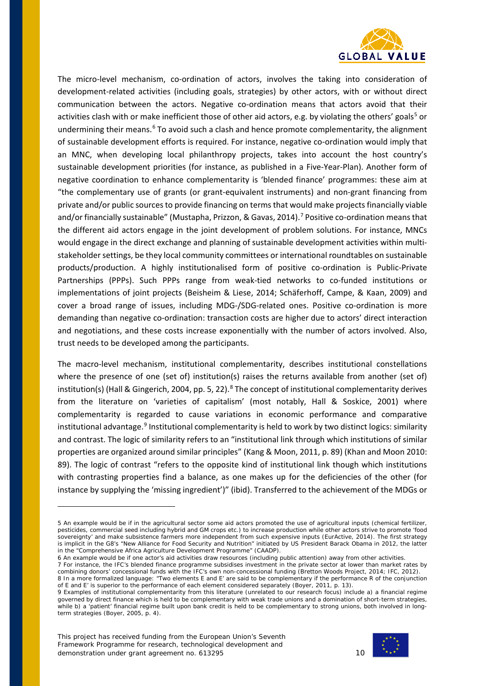

The micro-level mechanism, co-ordination of actors, involves the taking into consideration of development-related activities (including goals, strategies) by other actors, with or without direct communication between the actors. Negative co-ordination means that actors avoid that their activities clash with or make inefficient those of other aid actors, e.g. by violating the others' goals<sup>[5](#page-9-0)</sup> or undermining their means.<sup>[6](#page-9-1)</sup> To avoid such a clash and hence promote complementarity, the alignment of sustainable development efforts is required. For instance, negative co-ordination would imply that an MNC, when developing local philanthropy projects, takes into account the host country's sustainable development priorities (for instance, as published in a Five-Year-Plan). Another form of negative coordination to enhance complementarity is 'blended finance' programmes: these aim at "the complementary use of grants (or grant-equivalent instruments) and non-grant financing from private and/or public sources to provide financing on terms that would make projects financially viable and/or financially sustainable" (Mustapha, Prizzon, & Gavas, 2014). [7](#page-9-2) Positive co-ordination means that the different aid actors engage in the joint development of problem solutions. For instance, MNCs would engage in the direct exchange and planning of sustainable development activities within multistakeholder settings, be they local community committees or international roundtables on sustainable products/production. A highly institutionalised form of positive co-ordination is Public-Private Partnerships (PPPs). Such PPPs range from weak-tied networks to co-funded institutions or implementations of joint projects (Beisheim & Liese, 2014; Schäferhoff, Campe, & Kaan, 2009) and cover a broad range of issues, including MDG-/SDG-related ones. Positive co-ordination is more demanding than negative co-ordination: transaction costs are higher due to actors' direct interaction and negotiations, and these costs increase exponentially with the number of actors involved. Also, trust needs to be developed among the participants.

The macro-level mechanism, institutional complementarity, describes institutional constellations where the presence of one (set of) institution(s) raises the returns available from another (set of) institution(s) (Hall & Gingerich, 2004, pp. 5, 22).<sup>[8](#page-9-3)</sup> The concept of institutional complementarity derives from the literature on 'varieties of capitalism' (most notably, Hall & Soskice, 2001) where complementarity is regarded to cause variations in economic performance and comparative institutional advantage.<sup>[9](#page-9-4)</sup> Institutional complementarity is held to work by two distinct logics: similarity and contrast. The logic of similarity refers to an "institutional link through which institutions of similar properties are organized around similar principles" (Kang & Moon, 2011, p. 89) (Khan and Moon 2010: 89). The logic of contrast "refers to the opposite kind of institutional link though which institutions with contrasting properties find a balance, as one makes up for the deficiencies of the other (for instance by supplying the 'missing ingredient')" (ibid). Transferred to the achievement of the MDGs or



<span id="page-9-0"></span><sup>5</sup> An example would be if in the agricultural sector some aid actors promoted the use of agricultural inputs (chemical fertilizer, pesticides, commercial seed including hybrid and GM crops etc.) to increase production while other actors strive to promote 'food sovereignty' and make subsistence farmers more independent from such expensive inputs (EurActive, 2014). The first strategy is implicit in the G8's "New Alliance for Food Security and Nutrition" initiated by US President Barack Obama in 2012, the latter in the "Comprehensive Africa Agriculture Development Programme" (CAADP).

<sup>6</sup> An example would be if one actor's aid activities draw resources (including public attention) away from other activities.

<span id="page-9-3"></span><span id="page-9-2"></span><span id="page-9-1"></span><sup>7</sup> For instance, the IFC's blended finance programme subsidises investment in the private sector at lower than market rates by combining donors' concessional funds with the IFC's own non-concessional funding (Bretton Woods Project, 2014; IFC, 2012). 8 In a more formalized language: "Two elements E and E' are said to be complementary if the performance R of the conjunction of E and E' is superior to the performance of each element considered separately (Boyer, 2011, p. 13).

<span id="page-9-4"></span><sup>9</sup> Examples of institutional complementarity from this literature (unrelated to our research focus) include a) a financial regime governed by direct finance which is held to be complementary with weak trade unions and a domination of short-term strategies, while b) a 'patient' financial regime built upon bank credit is held to be complementary to strong unions, both involved in longterm strategies (Boyer, 2005, p. 4).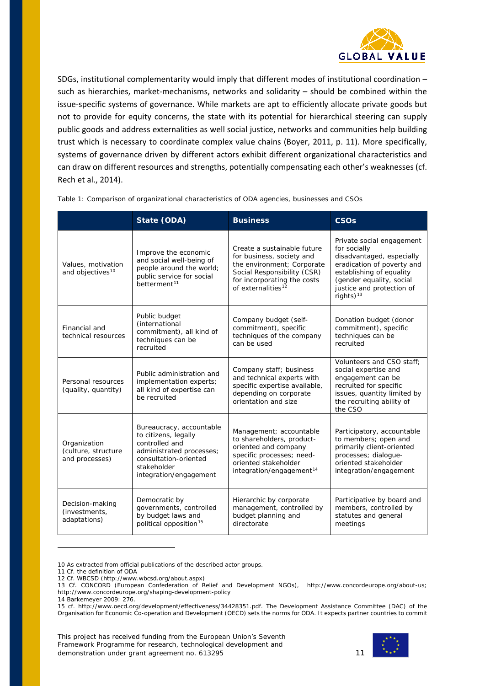

SDGs, institutional complementarity would imply that different modes of institutional coordination – such as hierarchies, market-mechanisms, networks and solidarity – should be combined within the issue-specific systems of governance. While markets are apt to efficiently allocate private goods but not to provide for equity concerns, the state with its potential for hierarchical steering can supply public goods and address externalities as well social justice, networks and communities help building trust which is necessary to coordinate complex value chains (Boyer, 2011, p. 11). More specifically, systems of governance driven by different actors exhibit different organizational characteristics and can draw on different resources and strengths, potentially compensating each other's weaknesses (cf. Rech et al., 2014).

|                                                                                                                                                                                                                           | State (ODA)                                                                                                                           | <b>Business</b>                                                                                                                                                               | <b>CSOs</b>                                                                                                                                                                                               |
|---------------------------------------------------------------------------------------------------------------------------------------------------------------------------------------------------------------------------|---------------------------------------------------------------------------------------------------------------------------------------|-------------------------------------------------------------------------------------------------------------------------------------------------------------------------------|-----------------------------------------------------------------------------------------------------------------------------------------------------------------------------------------------------------|
| Values, motivation<br>and objectives <sup>10</sup>                                                                                                                                                                        | Improve the economic<br>and social well-being of<br>people around the world;<br>public service for social<br>betterment <sup>11</sup> | Create a sustainable future<br>for business, society and<br>the environment; Corporate<br>Social Responsibility (CSR)<br>for incorporating the costs<br>of externalities $12$ | Private social engagement<br>for socially<br>disadvantaged, especially<br>eradication of poverty and<br>establishing of equality<br>(gender equality, social<br>justice and protection of<br>rights) $13$ |
| Financial and<br>technical resources                                                                                                                                                                                      | Public budget<br><i>(international</i><br>commitment), all kind of<br>techniques can be<br>recruited                                  | Company budget (self-<br>commitment), specific<br>techniques of the company<br>can be used                                                                                    | Donation budget (donor<br>commitment), specific<br>techniques can be<br>recruited                                                                                                                         |
| Personal resources<br>(quality, quantity)                                                                                                                                                                                 | Public administration and<br>implementation experts;<br>all kind of expertise can<br>be recruited                                     | Company staff; business<br>and technical experts with<br>specific expertise available,<br>depending on corporate<br>orientation and size                                      | Volunteers and CSO staff:<br>social expertise and<br>engagement can be<br>recruited for specific<br>issues, quantity limited by<br>the recruiting ability of<br>the CSO                                   |
| Bureaucracy, accountable<br>to citizens, legally<br>Organization<br>controlled and<br>(culture, structure<br>administrated processes;<br>and processes)<br>consultation-oriented<br>stakeholder<br>integration/engagement |                                                                                                                                       | Management; accountable<br>to shareholders, product-<br>oriented and company<br>specific processes; need-<br>oriented stakeholder<br>integration/engagement <sup>14</sup>     | Participatory, accountable<br>to members; open and<br>primarily client-oriented<br>processes; dialoque-<br>oriented stakeholder<br>integration/engagement                                                 |
| Decision-making<br>(investments,<br>adaptations)                                                                                                                                                                          | Democratic by<br>governments, controlled<br>by budget laws and<br>political opposition <sup>15</sup>                                  | Hierarchic by corporate<br>management, controlled by<br>budget planning and<br>directorate                                                                                    | Participative by board and<br>members, controlled by<br>statutes and general<br>meetings                                                                                                                  |

Table 1: Comparison of organizational characteristics of ODA agencies, businesses and CSOs

11 Cf. the definition of ODA

i,

14 Barkemeyer 2009: 276.



<span id="page-10-0"></span><sup>10</sup> As extracted from official publications of the described actor groups.

<span id="page-10-2"></span><span id="page-10-1"></span><sup>12</sup> Cf. WBCSD (http://www.wbcsd.org/about.aspx)

<span id="page-10-3"></span><sup>13</sup> Cf. CONCORD (European Confederation of Relief and Development NGOs), [http://www.concordeurope.org/about-us;](http://www.concordeurope.org/about-us) http://www.concordeurope.org/shaping-development-policy

<span id="page-10-5"></span><span id="page-10-4"></span><sup>15</sup> cf. [http://www.oecd.org/development/effectiveness/34428351.pdf.](http://www.oecd.org/development/effectiveness/34428351.pdf) The Development Assistance Committee (DAC) of the Organisation for Economic Co-operation and Development (OECD) sets the norms for ODA. It expects partner countries to commit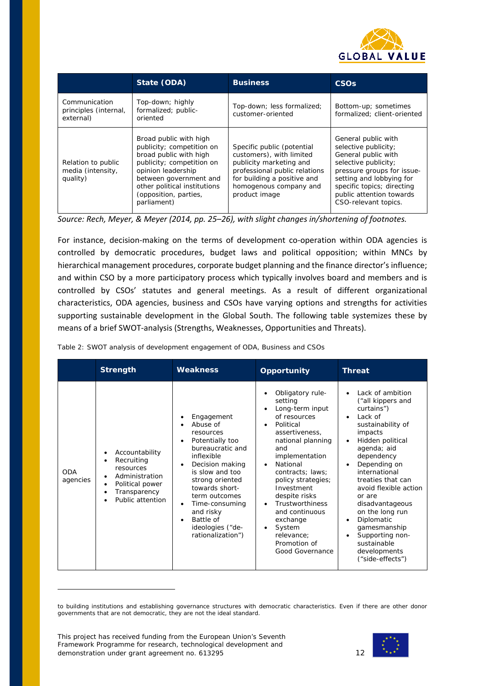

|                                                     | State (ODA)                                                                                                                                                                                                                        | <b>Business</b>                                                                                                                                                                              | <b>CSO<sub>s</sub></b>                                                                                                                                                                                                                 |
|-----------------------------------------------------|------------------------------------------------------------------------------------------------------------------------------------------------------------------------------------------------------------------------------------|----------------------------------------------------------------------------------------------------------------------------------------------------------------------------------------------|----------------------------------------------------------------------------------------------------------------------------------------------------------------------------------------------------------------------------------------|
| Communication<br>principles (internal,<br>external) | Top-down; highly<br>formalized; public-<br>oriented                                                                                                                                                                                | Top-down; less formalized;<br>customer-oriented                                                                                                                                              | Bottom-up; sometimes<br>formalized; client-oriented                                                                                                                                                                                    |
| Relation to public<br>media (intensity,<br>quality) | Broad public with high<br>publicity; competition on<br>broad public with high<br>publicity; competition on<br>opinion leadership<br>between government and<br>other political institutions<br>(opposition, parties,<br>parliament) | Specific public (potential<br>customers), with limited<br>publicity marketing and<br>professional public relations<br>for building a positive and<br>homogenous company and<br>product image | General public with<br>selective publicity;<br>General public with<br>selective publicity;<br>pressure groups for issue-<br>setting and lobbying for<br>specific topics; directing<br>public attention towards<br>CSO-relevant topics. |

*Source: Rech, Meyer, & Meyer (2014, pp. 25–26), with slight changes in/shortening of footnotes.*

For instance, decision-making on the terms of development co-operation within ODA agencies is controlled by democratic procedures, budget laws and political opposition; within MNCs by hierarchical management procedures, corporate budget planning and the finance director's influence; and within CSO by a more participatory process which typically involves board and members and is controlled by CSOs' statutes and general meetings. As a result of different organizational characteristics, ODA agencies, business and CSOs have varying options and strengths for activities supporting sustainable development in the Global South. The following table systemizes these by means of a brief SWOT-analysis (Strengths, Weaknesses, Opportunities and Threats).

|                        | <b>Strength</b>                                                                                                                                                     | <b>Weakness</b>                                                                                                                                                                                                                                                                        | <b>Opportunity</b>                                                                                                                                                                                                                                                                                                                                                                                      | <b>Threat</b>                                                                                                                                                                                                                                                                                                                                                                                                                                                    |
|------------------------|---------------------------------------------------------------------------------------------------------------------------------------------------------------------|----------------------------------------------------------------------------------------------------------------------------------------------------------------------------------------------------------------------------------------------------------------------------------------|---------------------------------------------------------------------------------------------------------------------------------------------------------------------------------------------------------------------------------------------------------------------------------------------------------------------------------------------------------------------------------------------------------|------------------------------------------------------------------------------------------------------------------------------------------------------------------------------------------------------------------------------------------------------------------------------------------------------------------------------------------------------------------------------------------------------------------------------------------------------------------|
| <b>ODA</b><br>agencies | Accountability<br>٠<br>Recruiting<br>$\bullet$<br>resources<br>Administration<br>$\bullet$<br>Political power<br>$\bullet$<br>Transparency<br>٠<br>Public attention | Engagement<br>Abuse of<br>resources<br>Potentially too<br>bureaucratic and<br>inflexible<br>Decision making<br>is slow and too<br>strong oriented<br>towards short-<br>term outcomes<br>Time-consuming<br>$\bullet$<br>and risky<br>Battle of<br>ideologies ("de-<br>rationalization") | Obligatory rule-<br>setting<br>Long-term input<br>of resources<br>Political<br>$\bullet$<br>assertiveness,<br>national planning<br>and<br>implementation<br>National<br>$\bullet$<br>contracts; laws;<br>policy strategies;<br>Investment<br>despite risks<br><b>Trustworthiness</b><br>$\bullet$<br>and continuous<br>exchange<br>System<br>$\bullet$<br>relevance;<br>Promotion of<br>Good Governance | Lack of ambition<br>$\bullet$<br>("all kippers and<br>curtains")<br>Lack of<br>$\bullet$<br>sustainability of<br>impacts<br>Hidden political<br>$\bullet$<br>agenda; aid<br>dependency<br>Depending on<br>$\bullet$<br>international<br>treaties that can<br>avoid flexible action<br>or are<br>disadvantageous<br>on the long run<br>Diplomatic<br>$\bullet$<br>gamesmanship<br>Supporting non-<br>$\bullet$<br>sustainable<br>developments<br>("side-effects") |

Table 2: SWOT analysis of development engagement of ODA, Business and CSOs



to building institutions and establishing governance structures with democratic characteristics. Even if there are other donor governments that are not democratic, they are not the ideal standard.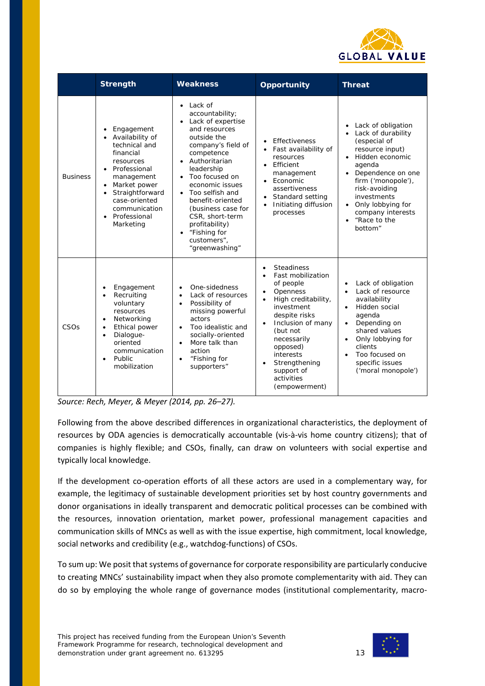

|                  | <b>Strength</b>                                                                                                                                                                                                                                                                        | <b>Weakness</b>                                                                                                                                                                                                                                                                                                                                                                  | <b>Opportunity</b>                                                                                                                                                                                                                                                                                                                         | <b>Threat</b>                                                                                                                                                                                                                                                                        |
|------------------|----------------------------------------------------------------------------------------------------------------------------------------------------------------------------------------------------------------------------------------------------------------------------------------|----------------------------------------------------------------------------------------------------------------------------------------------------------------------------------------------------------------------------------------------------------------------------------------------------------------------------------------------------------------------------------|--------------------------------------------------------------------------------------------------------------------------------------------------------------------------------------------------------------------------------------------------------------------------------------------------------------------------------------------|--------------------------------------------------------------------------------------------------------------------------------------------------------------------------------------------------------------------------------------------------------------------------------------|
| <b>Business</b>  | Engagement<br>$\bullet$<br>Availability of<br>$\bullet$<br>technical and<br>financial<br>resources<br>Professional<br>$\bullet$<br>management<br>Market power<br>$\bullet$<br>Straightforward<br>$\bullet$<br>case-oriented<br>communication<br>Professional<br>$\bullet$<br>Marketing | $\bullet$ Lack of<br>accountability;<br>Lack of expertise<br>and resources<br>outside the<br>company's field of<br>competence<br>• Authoritarian<br>leadership<br>Too focused on<br>$\bullet$<br>economic issues<br>Too selfish and<br>benefit-oriented<br>(business case for<br>CSR, short-term<br>profitability)<br>"Fishing for<br>$\bullet$<br>customers",<br>"greenwashing" | Effectiveness<br>Fast availability of<br>resources<br>Efficient<br>$\bullet$<br>management<br>Economic<br>$\bullet$<br>assertiveness<br>Standard setting<br>Initiating diffusion<br>processes                                                                                                                                              | Lack of obligation<br>Lack of durability<br>(especial of<br>resource input)<br>· Hidden economic<br>agenda<br>Dependence on one<br>firm ('monopole'),<br>risk-avoiding<br>investments<br>Only lobbying for<br>$\bullet$<br>company interests<br>"Race to the<br>$\bullet$<br>bottom" |
| CSO <sub>S</sub> | Engagement<br>$\bullet$<br>Recruiting<br>$\bullet$<br>voluntary<br>resources<br>Networking<br>$\bullet$<br>Ethical power<br>$\bullet$<br>Dialogue-<br>$\bullet$<br>oriented<br>communication<br>Public<br>$\bullet$<br>mobilization                                                    | One-sidedness<br>$\bullet$<br>Lack of resources<br>$\bullet$<br>Possibility of<br>$\bullet$<br>missing powerful<br>actors<br>Too idealistic and<br>$\bullet$<br>socially-oriented<br>More talk than<br>$\bullet$<br>action<br>"Fishing for<br>$\bullet$<br>supporters"                                                                                                           | <b>Steadiness</b><br>$\bullet$<br>Fast mobilization<br>$\bullet$<br>of people<br>Openness<br>$\bullet$<br>High creditability,<br>$\bullet$<br>investment<br>despite risks<br>Inclusion of many<br>$\bullet$<br>(but not<br>necessarily<br>opposed)<br>interests<br>Strengthening<br>$\bullet$<br>support of<br>activities<br>(empowerment) | Lack of obligation<br>Lack of resource<br>$\bullet$<br>availability<br>Hidden social<br>$\bullet$<br>agenda<br>Depending on<br>$\bullet$<br>shared values<br>Only lobbying for<br>clients<br>Too focused on<br>$\bullet$<br>specific issues<br>('moral monopole')                    |

*Source: Rech, Meyer, & Meyer (2014, pp. 26–27).*

Following from the above described differences in organizational characteristics, the deployment of resources by ODA agencies is democratically accountable (vis-à-vis home country citizens); that of companies is highly flexible; and CSOs, finally, can draw on volunteers with social expertise and typically local knowledge.

If the development co-operation efforts of all these actors are used in a complementary way, for example, the legitimacy of sustainable development priorities set by host country governments and donor organisations in ideally transparent and democratic political processes can be combined with the resources, innovation orientation, market power, professional management capacities and communication skills of MNCs as well as with the issue expertise, high commitment, local knowledge, social networks and credibility (e.g., watchdog-functions) of CSOs.

To sum up: We posit that systems of governance for corporate responsibility are particularly conducive to creating MNCs' sustainability impact when they also promote complementarity with aid. They can do so by employing the whole range of governance modes (institutional complementarity, macro-

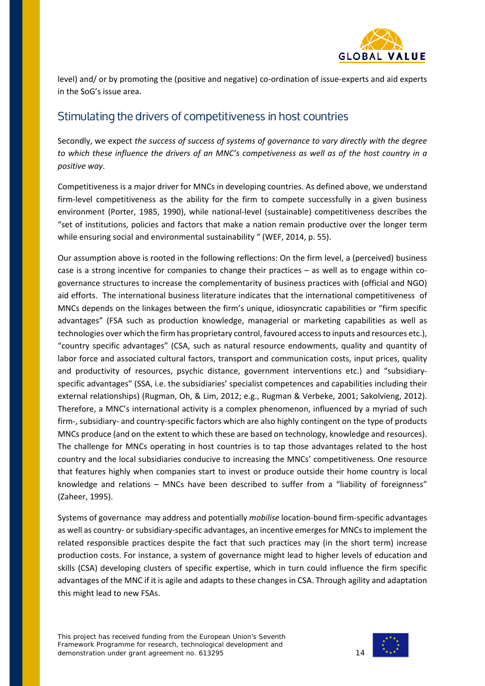

level) and/ or by promoting the (positive and negative) co-ordination of issue-experts and aid experts in the SoG's issue area.

# <span id="page-13-0"></span>Stimulating the drivers of competitiveness in host countries

Secondly, we expect *the success of success of systems of governance to vary directly with the degree to which these influence the drivers of an MNC's competiveness as well as of the host country in a positive way*.

Competitiveness is a major driver for MNCs in developing countries. As defined above, we understand firm-level competitiveness as the ability for the firm to compete successfully in a given business environment (Porter, 1985, 1990), while national-level (sustainable) competitiveness describes the "set of institutions, policies and factors that make a nation remain productive over the longer term while ensuring social and environmental sustainability " (WEF, 2014, p. 55).

Our assumption above is rooted in the following reflections: On the firm level, a (perceived) business case is a strong incentive for companies to change their practices – as well as to engage within cogovernance structures to increase the complementarity of business practices with (official and NGO) aid efforts. The international business literature indicates that the international competitiveness of MNCs depends on the linkages between the firm's unique, idiosyncratic capabilities or "firm specific advantages" (FSA such as production knowledge, managerial or marketing capabilities as well as technologies over which the firm has proprietary control, favoured access to inputs and resources etc.), "country specific advantages" (CSA, such as natural resource endowments, quality and quantity of labor force and associated cultural factors, transport and communication costs, input prices, quality and productivity of resources, psychic distance, government interventions etc.) and "subsidiaryspecific advantages" (SSA, i.e. the subsidiaries' specialist competences and capabilities including their external relationships) (Rugman, Oh, & Lim, 2012; e.g., Rugman & Verbeke, 2001; Sakolvieng, 2012). Therefore, a MNC's international activity is a complex phenomenon, influenced by a myriad of such firm-, subsidiary- and country-specific factors which are also highly contingent on the type of products MNCs produce (and on the extent to which these are based on technology, knowledge and resources). The challenge for MNCs operating in host countries is to tap those advantages related to the host country and the local subsidiaries conducive to increasing the MNCs' competitiveness. One resource that features highly when companies start to invest or produce outside their home country is local knowledge and relations – MNCs have been described to suffer from a "liability of foreignness" (Zaheer, 1995).

Systems of governance may address and potentially *mobilise* location-bound firm-specific advantages as well as country- or subsidiary-specific advantages, an incentive emerges for MNCs to implement the related responsible practices despite the fact that such practices may (in the short term) increase production costs. For instance, a system of governance might lead to higher levels of education and skills (CSA) developing clusters of specific expertise, which in turn could influence the firm specific advantages of the MNC if it is agile and adapts to these changes in CSA. Through agility and adaptation this might lead to new FSAs.

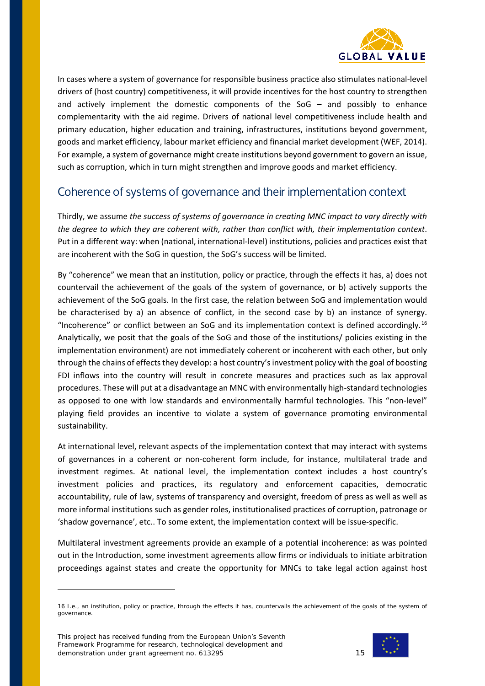

In cases where a system of governance for responsible business practice also stimulates national-level drivers of (host country) competitiveness, it will provide incentives for the host country to strengthen and actively implement the domestic components of the SoG – and possibly to enhance complementarity with the aid regime. Drivers of national level competitiveness include health and primary education, higher education and training, infrastructures, institutions beyond government, goods and market efficiency, labour market efficiency and financial market development (WEF, 2014). For example, a system of governance might create institutions beyond government to govern an issue, such as corruption, which in turn might strengthen and improve goods and market efficiency.

## Coherence of systems of governance and their implementation context

Thirdly, we assume *the success of systems of governance in creating MNC impact to vary directly with the degree to which they are coherent with, rather than conflict with, their implementation context*. Put in a different way: when (national, international-level) institutions, policies and practices exist that are incoherent with the SoG in question, the SoG's success will be limited.

By "coherence" we mean that an institution, policy or practice, through the effects it has, a) does not countervail the achievement of the goals of the system of governance, or b) actively supports the achievement of the SoG goals. In the first case, the relation between SoG and implementation would be characterised by a) an absence of conflict, in the second case by b) an instance of synergy. "Incoherence" or conflict between an SoG and its implementation context is defined accordingly.<sup>[16](#page-14-0)</sup> Analytically, we posit that the goals of the SoG and those of the institutions/ policies existing in the implementation environment) are not immediately coherent or incoherent with each other, but only through the chains of effects they develop: a host country's investment policy with the goal of boosting FDI inflows into the country will result in concrete measures and practices such as lax approval procedures. These will put at a disadvantage an MNC with environmentally high-standard technologies as opposed to one with low standards and environmentally harmful technologies. This "non-level" playing field provides an incentive to violate a system of governance promoting environmental sustainability.

At international level, relevant aspects of the implementation context that may interact with systems of governances in a coherent or non-coherent form include, for instance, multilateral trade and investment regimes. At national level, the implementation context includes a host country's investment policies and practices, its regulatory and enforcement capacities, democratic accountability, rule of law, systems of transparency and oversight, freedom of press as well as well as more informal institutions such as gender roles, institutionalised practices of corruption, patronage or 'shadow governance', etc.. To some extent, the implementation context will be issue-specific.

Multilateral investment agreements provide an example of a potential incoherence: as was pointed out in the Introduction, some investment agreements allow firms or individuals to initiate arbitration proceedings against states and create the opportunity for MNCs to take legal action against host



<span id="page-14-0"></span><sup>16</sup> I.e., an institution, policy or practice, through the effects it has, countervails the achievement of the goals of the system of governance.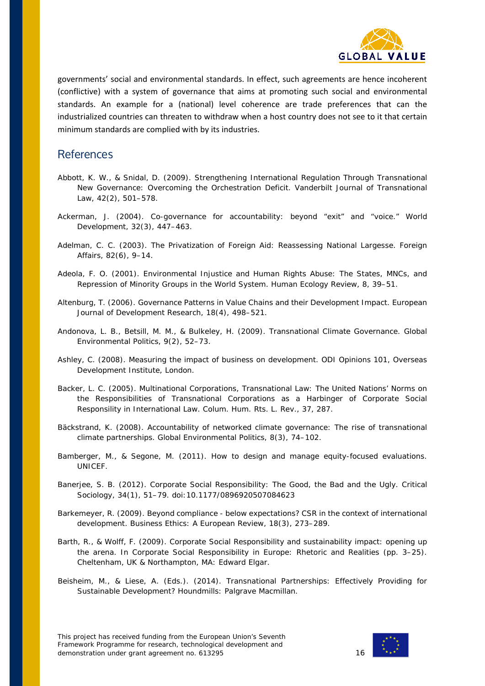

governments' social and environmental standards. In effect, such agreements are hence incoherent (conflictive) with a system of governance that aims at promoting such social and environmental standards. An example for a (national) level coherence are trade preferences that can the industrialized countries can threaten to withdraw when a host country does not see to it that certain minimum standards are complied with by its industries.

#### **References**

- Abbott, K. W., & Snidal, D. (2009). Strengthening International Regulation Through Transnational New Governance: Overcoming the Orchestration Deficit. *Vanderbilt Journal of Transnational Law*, *42*(2), 501–578.
- Ackerman, J. (2004). Co-governance for accountability: beyond "exit" and "voice." *World Development*, *32*(3), 447–463.
- Adelman, C. C. (2003). The Privatization of Foreign Aid: Reassessing National Largesse. *Foreign Affairs*, *82*(6), 9–14.
- Adeola, F. O. (2001). Environmental Injustice and Human Rights Abuse: The States, MNCs, and Repression of Minority Groups in the World System. *Human Ecology Review*, *8*, 39–51.
- Altenburg, T. (2006). Governance Patterns in Value Chains and their Development Impact. *European Journal of Development Research*, *18*(4), 498–521.
- Andonova, L. B., Betsill, M. M., & Bulkeley, H. (2009). Transnational Climate Governance. *Global Environmental Politics*, *9*(2), 52–73.
- Ashley, C. (2008). *Measuring the impact of business on development*. ODI Opinions 101, Overseas Development Institute, London.
- Backer, L. C. (2005). Multinational Corporations, Transnational Law: The United Nations' Norms on the Responsibilities of Transnational Corporations as a Harbinger of Corporate Social Responsility in International Law. *Colum. Hum. Rts. L. Rev.*, *37*, 287.
- Bäckstrand, K. (2008). Accountability of networked climate governance: The rise of transnational climate partnerships. *Global Environmental Politics*, *8*(3), 74–102.
- Bamberger, M., & Segone, M. (2011). *How to design and manage equity-focused evaluations*. UNICEF.
- Banerjee, S. B. (2012). Corporate Social Responsibility: The Good, the Bad and the Ugly. *Critical Sociology*, *34*(1), 51–79. doi:10.1177/0896920507084623
- Barkemeyer, R. (2009). Beyond compliance below expectations? CSR in the context of international development. *Business Ethics: A European Review*, *18*(3), 273–289.
- Barth, R., & Wolff, F. (2009). Corporate Social Responsibility and sustainability impact: opening up the arena. In *Corporate Social Responsibility in Europe: Rhetoric and Realities* (pp. 3–25). Cheltenham, UK & Northampton, MA: Edward Elgar.
- Beisheim, M., & Liese, A. (Eds.). (2014). *Transnational Partnerships: Effectively Providing for Sustainable Development?* Houndmills: Palgrave Macmillan.

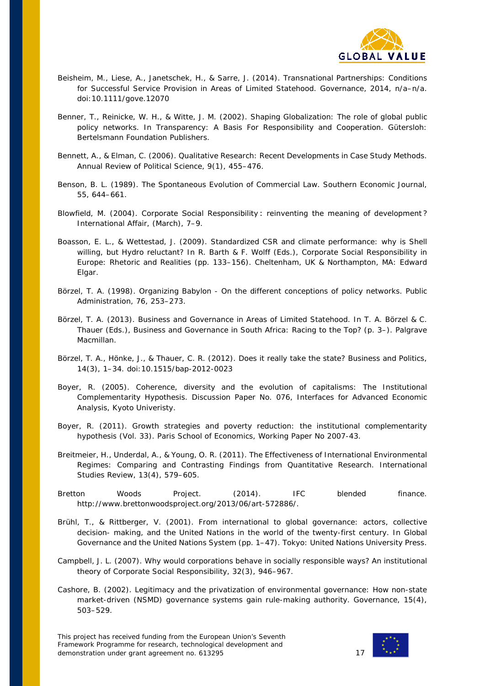

- Beisheim, M., Liese, A., Janetschek, H., & Sarre, J. (2014). Transnational Partnerships: Conditions for Successful Service Provision in Areas of Limited Statehood. *Governance*, *2014*, n/a–n/a. doi:10.1111/gove.12070
- Benner, T., Reinicke, W. H., & Witte, J. M. (2002). Shaping Globalization: The role of global public policy networks. In *Transparency: A Basis For Responsibility and Cooperation*. Gütersloh: Bertelsmann Foundation Publishers.
- Bennett, A., & Elman, C. (2006). Qualitative Research: Recent Developments in Case Study Methods. *Annual Review of Political Science*, *9*(1), 455–476.
- Benson, B. L. (1989). The Spontaneous Evolution of Commercial Law. *Southern Economic Journal*, *55*, 644–661.
- Blowfield, M. (2004). Corporate Social Responsibility : reinventing the meaning of development ? *International Affair*, (March), 7–9.
- Boasson, E. L., & Wettestad, J. (2009). Standardized CSR and climate performance: why is Shell willing, but Hydro reluctant? In R. Barth & F. Wolff (Eds.), *Corporate Social Responsibility in Europe: Rhetoric and Realities* (pp. 133–156). Cheltenham, UK & Northampton, MA: Edward Elgar.
- Börzel, T. A. (1998). Organizing Babylon On the different conceptions of policy networks. *Public Administration*, *76*, 253–273.
- Börzel, T. A. (2013). Business and Governance in Areas of Limited Statehood. In T. A. Börzel & C. Thauer (Eds.), *Business and Governance in South Africa: Racing to the Top?* (p. 3–). Palgrave Macmillan.
- Börzel, T. A., Hönke, J., & Thauer, C. R. (2012). Does it really take the state? *Business and Politics*, *14*(3), 1–34. doi:10.1515/bap-2012-0023
- Boyer, R. (2005). *Coherence, diversity and the evolution of capitalisms: The Institutional Complementarity Hypothesis*. Discussion Paper No. 076, Interfaces for Advanced Economic Analysis, Kyoto Univeristy.
- Boyer, R. (2011). *Growth strategies and poverty reduction: the institutional complementarity hypothesis* (Vol. 33). Paris School of Economics, Working Paper No 2007-43.
- Breitmeier, H., Underdal, A., & Young, O. R. (2011). The Effectiveness of International Environmental Regimes: Comparing and Contrasting Findings from Quantitative Research. *International Studies Review*, *13*(4), 579–605.
- Bretton Woods Project. (2014). IFC blended finance. *http://www.brettonwoodsproject.org/2013/06/art-572886/*.
- Brühl, T., & Rittberger, V. (2001). From international to global governance: actors, collective decision- making, and the United Nations in the world of the twenty-first century. In *Global Governance and the United Nations System* (pp. 1–47). Tokyo: United Nations University Press.
- Campbell, J. L. (2007). Why would corporations behave in socially responsible ways? An institutional theory of Corporate Social Responsibility, *32*(3), 946–967.
- Cashore, B. (2002). Legitimacy and the privatization of environmental governance: How non-state market-driven (NSMD) governance systems gain rule-making authority. *Governance*, *15*(4), 503–529.

This project has received funding from the European Union's Seventh Framework Programme for research, technological development and demonstration under grant agreement no. 613295

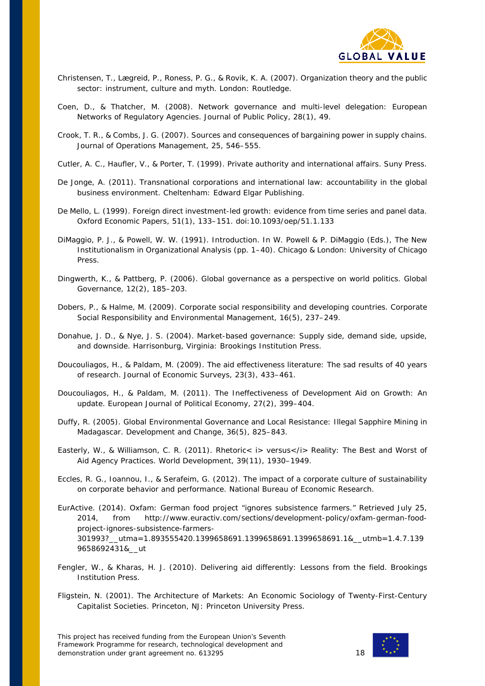

- Christensen, T., Lægreid, P., Roness, P. G., & Rovik, K. A. (2007). *Organization theory and the public sector: instrument, culture and myth*. London: Routledge.
- Coen, D., & Thatcher, M. (2008). Network governance and multi-level delegation: European Networks of Regulatory Agencies. *Journal of Public Policy*, *28*(1), 49.
- Crook, T. R., & Combs, J. G. (2007). Sources and consequences of bargaining power in supply chains. *Journal of Operations Management*, *25*, 546–555.
- Cutler, A. C., Haufler, V., & Porter, T. (1999). *Private authority and international affairs*. Suny Press.
- De Jonge, A. (2011). *Transnational corporations and international law: accountability in the global business environment*. Cheltenham: Edward Elgar Publishing.
- De Mello, L. (1999). Foreign direct investment-led growth: evidence from time series and panel data. *Oxford Economic Papers*, *51*(1), 133–151. doi:10.1093/oep/51.1.133
- DiMaggio, P. J., & Powell, W. W. (1991). Introduction. In W. Powell & P. DiMaggio (Eds.), *The New Institutionalism in Organizational Analysis* (pp. 1–40). Chicago & London: University of Chicago Press.
- Dingwerth, K., & Pattberg, P. (2006). Global governance as a perspective on world politics. *Global Governance*, *12*(2), 185–203.
- Dobers, P., & Halme, M. (2009). Corporate social responsibility and developing countries. *Corporate Social Responsibility and Environmental Management*, *16*(5), 237–249.
- Donahue, J. D., & Nye, J. S. (2004). *Market-based governance: Supply side, demand side, upside, and downside*. Harrisonburg, Virginia: Brookings Institution Press.
- Doucouliagos, H., & Paldam, M. (2009). The aid effectiveness literature: The sad results of 40 years of research. *Journal of Economic Surveys*, *23*(3), 433–461.
- Doucouliagos, H., & Paldam, M. (2011). The Ineffectiveness of Development Aid on Growth: An update. *European Journal of Political Economy*, *27*(2), 399–404.
- Duffy, R. (2005). Global Environmental Governance and Local Resistance: Illegal Sapphire Mining in Madagascar. *Development and Change*, *36*(5), 825–843.
- Easterly, W., & Williamson, C. R. (2011). Rhetoric< i> versus</i> Reality: The Best and Worst of Aid Agency Practices. *World Development*, *39*(11), 1930–1949.
- Eccles, R. G., Ioannou, I., & Serafeim, G. (2012). *The impact of a corporate culture of sustainability on corporate behavior and performance*. National Bureau of Economic Research.
- EurActive. (2014). Oxfam: German food project "ignores subsistence farmers." Retrieved July 25, 2014, from http://www.euractiv.com/sections/development-policy/oxfam-german-foodproject-ignores-subsistence-farmers-301993?\_\_utma=1.893555420.1399658691.1399658691.1399658691.1&\_\_utmb=1.4.7.139 9658692431&\_\_ut
- Fengler, W., & Kharas, H. J. (2010). *Delivering aid differently: Lessons from the field*. Brookings Institution Press.
- Fligstein, N. (2001). *The Architecture of Markets: An Economic Sociology of Twenty-First-Century Capitalist Societies*. Princeton, NJ: Princeton University Press.

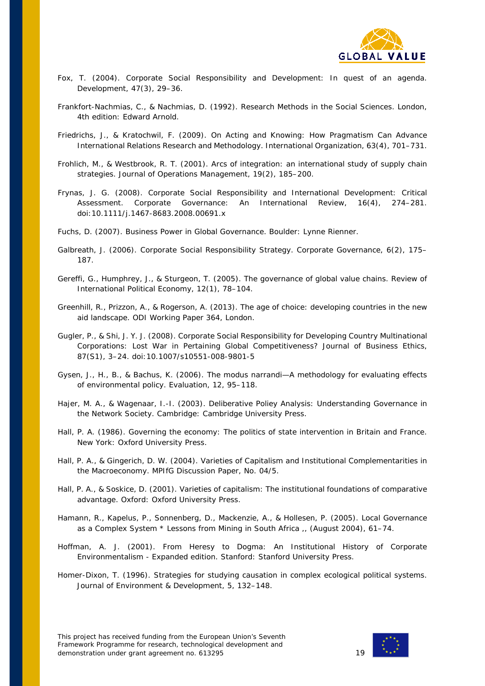

- Fox, T. (2004). Corporate Social Responsibility and Development: In quest of an agenda. *Development*, *47*(3), 29–36.
- Frankfort-Nachmias, C., & Nachmias, D. (1992). *Research Methods in the Social Sciences*. London, 4th edition: Edward Arnold.
- Friedrichs, J., & Kratochwil, F. (2009). On Acting and Knowing: How Pragmatism Can Advance International Relations Research and Methodology. *International Organization*, *63*(4), 701–731.
- Frohlich, M., & Westbrook, R. T. (2001). Arcs of integration: an international study of supply chain strategies. *Journal of Operations Management*, *19*(2), 185–200.
- Frynas, J. G. (2008). Corporate Social Responsibility and International Development: Critical Assessment. *Corporate Governance: An International Review*, *16*(4), 274–281. doi:10.1111/j.1467-8683.2008.00691.x
- Fuchs, D. (2007). *Business Power in Global Governance*. Boulder: Lynne Rienner.
- Galbreath, J. (2006). Corporate Social Responsibility Strategy. *Corporate Governance*, *6*(2), 175– 187.
- Gereffi, G., Humphrey, J., & Sturgeon, T. (2005). The governance of global value chains. *Review of International Political Economy*, *12*(1), 78–104.
- Greenhill, R., Prizzon, A., & Rogerson, A. (2013). *The age of choice: developing countries in the new aid landscape*. ODI Working Paper 364, London.
- Gugler, P., & Shi, J. Y. J. (2008). Corporate Social Responsibility for Developing Country Multinational Corporations: Lost War in Pertaining Global Competitiveness? *Journal of Business Ethics*, *87*(S1), 3–24. doi:10.1007/s10551-008-9801-5
- Gysen, J., H., B., & Bachus, K. (2006). The modus narrandi—A methodology for evaluating effects of environmental policy. *Evaluation*, *12*, 95–118.
- Hajer, M. A., & Wagenaar, I.-I. (2003). *Deliberative Poliey Analysis: Understanding Governance in the Network Society*. Cambridge: Cambridge University Press.
- Hall, P. A. (1986). *Governing the economy: The politics of state intervention in Britain and France*. New York: Oxford University Press.
- Hall, P. A., & Gingerich, D. W. (2004). *Varieties of Capitalism and Institutional Complementarities in the Macroeconomy*. MPIfG Discussion Paper, No. 04/5.
- Hall, P. A., & Soskice, D. (2001). *Varieties of capitalism: The institutional foundations of comparative advantage*. Oxford: Oxford University Press.
- Hamann, R., Kapelus, P., Sonnenberg, D., Mackenzie, A., & Hollesen, P. (2005). Local Governance as a Complex System \* Lessons from Mining in South Africa ,, (August 2004), 61–74.
- Hoffman, A. J. (2001). *From Heresy to Dogma: An Institutional History of Corporate Environmentalism - Expanded edition*. Stanford: Stanford University Press.
- Homer-Dixon, T. (1996). Strategies for studying causation in complex ecological political systems. *Journal of Environment & Development*, *5*, 132–148.

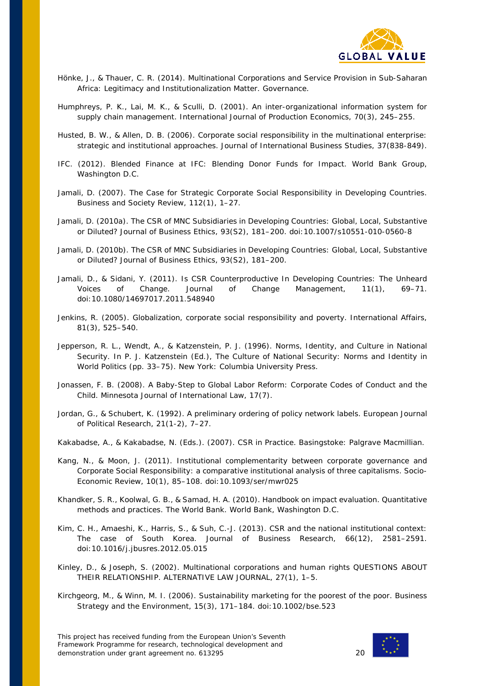

- Hönke, J., & Thauer, C. R. (2014). Multinational Corporations and Service Provision in Sub-Saharan Africa: Legitimacy and Institutionalization Matter. *Governance*.
- Humphreys, P. K., Lai, M. K., & Sculli, D. (2001). An inter-organizational information system for supply chain management. *International Journal of Production Economics*, *70*(3), 245–255.
- Husted, B. W., & Allen, D. B. (2006). Corporate social responsibility in the multinational enterprise: strategic and institutional approaches. *Journal of International Business Studies*, *37*(838-849).
- IFC. (2012). *Blended Finance at IFC: Blending Donor Funds for Impact*. World Bank Group, Washington D.C.
- Jamali, D. (2007). The Case for Strategic Corporate Social Responsibility in Developing Countries. *Business and Society Review*, *112*(1), 1–27.
- Jamali, D. (2010a). The CSR of MNC Subsidiaries in Developing Countries: Global, Local, Substantive or Diluted? *Journal of Business Ethics*, *93*(S2), 181–200. doi:10.1007/s10551-010-0560-8
- Jamali, D. (2010b). The CSR of MNC Subsidiaries in Developing Countries: Global, Local, Substantive or Diluted? *Journal of Business Ethics*, *93*(S2), 181–200.
- Jamali, D., & Sidani, Y. (2011). Is CSR Counterproductive In Developing Countries: The Unheard Voices of Change. *Journal of Change Management*, *11*(1), 69–71. doi:10.1080/14697017.2011.548940
- Jenkins, R. (2005). Globalization, corporate social responsibility and poverty. *International Affairs*, *81*(3), 525–540.
- Jepperson, R. L., Wendt, A., & Katzenstein, P. J. (1996). Norms, Identity, and Culture in National Security. In P. J. Katzenstein (Ed.), *The Culture of National Security: Norms and Identity in World Politics* (pp. 33–75). New York: Columbia University Press.
- Jonassen, F. B. (2008). A Baby-Step to Global Labor Reform: Corporate Codes of Conduct and the Child. *Minnesota Journal of International Law*, *17*(7).
- Jordan, G., & Schubert, K. (1992). A preliminary ordering of policy network labels. *European Journal of Political Research*, *21*(1-2), 7–27.
- Kakabadse, A., & Kakabadse, N. (Eds.). (2007). *CSR in Practice*. Basingstoke: Palgrave Macmillian.
- Kang, N., & Moon, J. (2011). Institutional complementarity between corporate governance and Corporate Social Responsibility: a comparative institutional analysis of three capitalisms. *Socio-Economic Review*, *10*(1), 85–108. doi:10.1093/ser/mwr025
- Khandker, S. R., Koolwal, G. B., & Samad, H. A. (2010). *Handbook on impact evaluation. Quantitative methods and practices. The World Bank*. World Bank, Washington D.C.
- Kim, C. H., Amaeshi, K., Harris, S., & Suh, C.-J. (2013). CSR and the national institutional context: The case of South Korea. *Journal of Business Research*, *66*(12), 2581–2591. doi:10.1016/j.jbusres.2012.05.015
- Kinley, D., & Joseph, S. (2002). Multinational corporations and human rights QUESTIONS ABOUT THEIR RELATIONSHIP. *ALTERNATIVE LAW JOURNAL*, *27*(1), 1–5.
- Kirchgeorg, M., & Winn, M. I. (2006). Sustainability marketing for the poorest of the poor. *Business Strategy and the Environment*, *15*(3), 171–184. doi:10.1002/bse.523

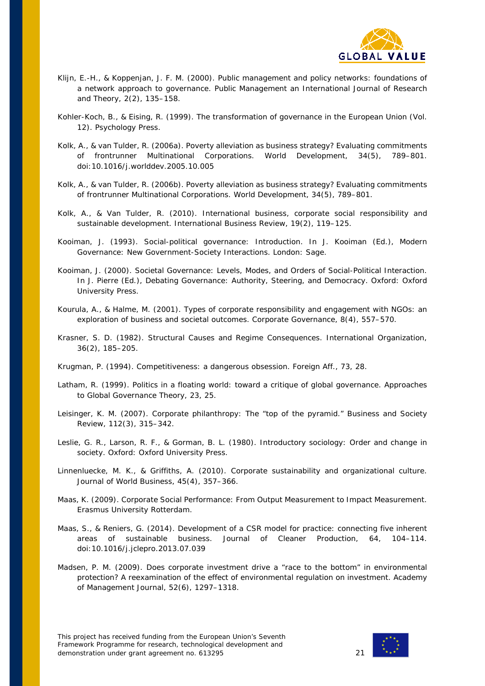

- Klijn, E.-H., & Koppenjan, J. F. M. (2000). Public management and policy networks: foundations of a network approach to governance. *Public Management an International Journal of Research and Theory*, *2*(2), 135–158.
- Kohler-Koch, B., & Eising, R. (1999). *The transformation of governance in the European Union* (Vol. 12). Psychology Press.
- Kolk, A., & van Tulder, R. (2006a). Poverty alleviation as business strategy? Evaluating commitments of frontrunner Multinational Corporations. *World Development*, *34*(5), 789–801. doi:10.1016/j.worlddev.2005.10.005
- Kolk, A., & van Tulder, R. (2006b). Poverty alleviation as business strategy? Evaluating commitments of frontrunner Multinational Corporations. *World Development*, *34*(5), 789–801.
- Kolk, A., & Van Tulder, R. (2010). International business, corporate social responsibility and sustainable development. *International Business Review*, *19*(2), 119–125.
- Kooiman, J. (1993). Social-political governance: Introduction. In J. Kooiman (Ed.), *Modern Governance: New Government-Society Interactions*. London: Sage.
- Kooiman, J. (2000). Societal Governance: Levels, Modes, and Orders of Social-Political Interaction. In J. Pierre (Ed.), *Debating Governance: Authority, Steering, and Democracy*. Oxford: Oxford University Press.
- Kourula, A., & Halme, M. (2001). Types of corporate responsibility and engagement with NGOs: an exploration of business and societal outcomes. *Corporate Governance*, *8*(4), 557–570.
- Krasner, S. D. (1982). Structural Causes and Regime Consequences. *International Organization*, *36*(2), 185–205.
- Krugman, P. (1994). Competitiveness: a dangerous obsession. *Foreign Aff.*, *73*, 28.
- Latham, R. (1999). Politics in a floating world: toward a critique of global governance. *Approaches to Global Governance Theory*, *23*, 25.
- Leisinger, K. M. (2007). Corporate philanthropy: The "top of the pyramid." *Business and Society Review*, *112*(3), 315–342.
- Leslie, G. R., Larson, R. F., & Gorman, B. L. (1980). *Introductory sociology: Order and change in society*. Oxford: Oxford University Press.
- Linnenluecke, M. K., & Griffiths, A. (2010). Corporate sustainability and organizational culture. *Journal of World Business*, *45*(4), 357–366.
- Maas, K. (2009). *Corporate Social Performance: From Output Measurement to Impact Measurement*. Erasmus University Rotterdam.
- Maas, S., & Reniers, G. (2014). Development of a CSR model for practice: connecting five inherent areas of sustainable business. *Journal of Cleaner Production*, *64*, 104–114. doi:10.1016/j.jclepro.2013.07.039
- Madsen, P. M. (2009). Does corporate investment drive a "race to the bottom" in environmental protection? A reexamination of the effect of environmental regulation on investment. *Academy of Management Journal*, *52*(6), 1297–1318.

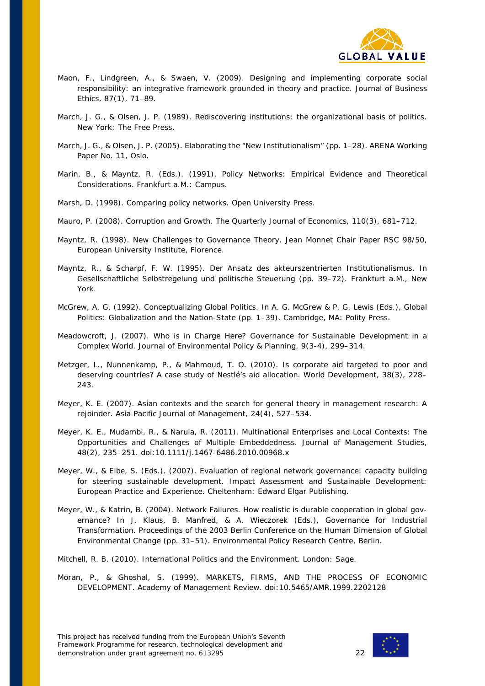

- Maon, F., Lindgreen, A., & Swaen, V. (2009). Designing and implementing corporate social responsibility: an integrative framework grounded in theory and practice. *Journal of Business Ethics*, *87*(1), 71–89.
- March, J. G., & Olsen, J. P. (1989). *Rediscovering institutions: the organizational basis of politics*. New York: The Free Press.
- March, J. G., & Olsen, J. P. (2005). *Elaborating the "New Institutionalism"* (pp. 1–28). ARENA Working Paper No. 11, Oslo.
- Marin, B., & Mayntz, R. (Eds.). (1991). *Policy Networks: Empirical Evidence and Theoretical Considerations*. Frankfurt a.M.: Campus.
- Marsh, D. (1998). *Comparing policy networks*. Open University Press.
- Mauro, P. (2008). Corruption and Growth. *The Quarterly Journal of Economics*, *110*(3), 681–712.
- Mayntz, R. (1998). *New Challenges to Governance Theory*. Jean Monnet Chair Paper RSC 98/50, European University Institute, Florence.
- Mayntz, R., & Scharpf, F. W. (1995). Der Ansatz des akteurszentrierten Institutionalismus. In *Gesellschaftliche Selbstregelung und politische Steuerung* (pp. 39–72). Frankfurt a.M., New York.
- McGrew, A. G. (1992). Conceptualizing Global Politics. In A. G. McGrew & P. G. Lewis (Eds.), *Global Politics: Globalization and the Nation-State* (pp. 1–39). Cambridge, MA: Polity Press.
- Meadowcroft, J. (2007). Who is in Charge Here? Governance for Sustainable Development in a Complex World. *Journal of Environmental Policy & Planning*, *9*(3-4), 299–314.
- Metzger, L., Nunnenkamp, P., & Mahmoud, T. O. (2010). Is corporate aid targeted to poor and deserving countries? A case study of Nestlé's aid allocation. *World Development*, *38*(3), 228– 243.
- Meyer, K. E. (2007). Asian contexts and the search for general theory in management research: A rejoinder. *Asia Pacific Journal of Management*, *24*(4), 527–534.
- Meyer, K. E., Mudambi, R., & Narula, R. (2011). Multinational Enterprises and Local Contexts: The Opportunities and Challenges of Multiple Embeddedness. *Journal of Management Studies*, *48*(2), 235–251. doi:10.1111/j.1467-6486.2010.00968.x
- Meyer, W., & Elbe, S. (Eds.). (2007). *Evaluation of regional network governance: capacity building for steering sustainable development*. *Impact Assessment and Sustainable Development: European Practice and Experience*. Cheltenham: Edward Elgar Publishing.
- Meyer, W., & Katrin, B. (2004). Network Failures. How realistic is durable cooperation in global governance? In J. Klaus, B. Manfred, & A. Wieczorek (Eds.), *Governance for Industrial Transformation. Proceedings of the 2003 Berlin Conference on the Human Dimension of Global Environmental Change* (pp. 31–51). Environmental Policy Research Centre, Berlin.

Mitchell, R. B. (2010). *International Politics and the Environment*. London: Sage.

Moran, P., & Ghoshal, S. (1999). MARKETS, FIRMS, AND THE PROCESS OF ECONOMIC DEVELOPMENT. *Academy of Management Review*. doi:10.5465/AMR.1999.2202128

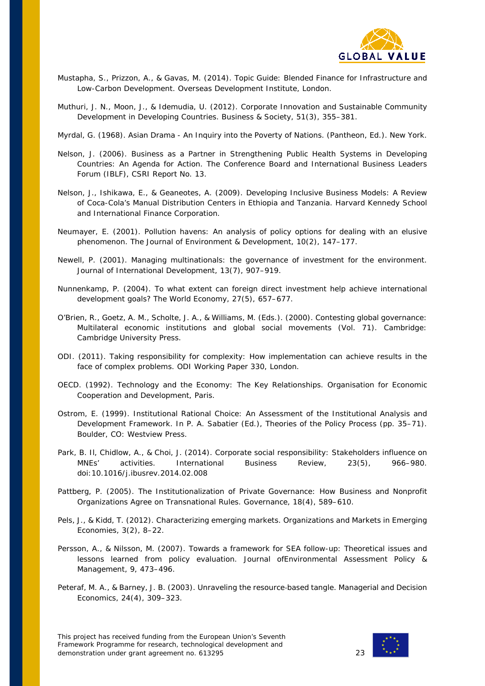

- Mustapha, S., Prizzon, A., & Gavas, M. (2014). *Topic Guide: Blended Finance for Infrastructure and Low-Carbon Development*. Overseas Development Institute, London.
- Muthuri, J. N., Moon, J., & Idemudia, U. (2012). Corporate Innovation and Sustainable Community Development in Developing Countries. *Business & Society*, *51*(3), 355–381.
- Myrdal, G. (1968). *Asian Drama - An Inquiry into the Poverty of Nations*. (Pantheon, Ed.). New York.
- Nelson, J. (2006). *Business as a Partner in Strengthening Public Health Systems in Developing Countries: An Agenda for Action*. The Conference Board and International Business Leaders Forum (IBLF), CSRI Report No. 13.
- Nelson, J., Ishikawa, E., & Geaneotes, A. (2009). *Developing Inclusive Business Models: A Review of Coca-Cola's Manual Distribution Centers in Ethiopia and Tanzania*. Harvard Kennedy School and International Finance Corporation.
- Neumayer, E. (2001). Pollution havens: An analysis of policy options for dealing with an elusive phenomenon. *The Journal of Environment & Development*, *10*(2), 147–177.
- Newell, P. (2001). Managing multinationals: the governance of investment for the environment. *Journal of International Development*, *13*(7), 907–919.
- Nunnenkamp, P. (2004). To what extent can foreign direct investment help achieve international development goals? *The World Economy*, *27*(5), 657–677.
- O'Brien, R., Goetz, A. M., Scholte, J. A., & Williams, M. (Eds.). (2000). *Contesting global governance: Multilateral economic institutions and global social movements* (Vol. 71). Cambridge: Cambridge University Press.
- ODI. (2011). *Taking responsibility for complexity: How implementation can achieve results in the face of complex problems*. ODI Working Paper 330, London.
- OECD. (1992). *Technology and the Economy: The Key Relationships*. Organisation for Economic Cooperation and Development, Paris.
- Ostrom, E. (1999). Institutional Rational Choice: An Assessment of the Institutional Analysis and Development Framework. In P. A. Sabatier (Ed.), *Theories of the Policy Process* (pp. 35–71). Boulder, CO: Westview Press.
- Park, B. Il, Chidlow, A., & Choi, J. (2014). Corporate social responsibility: Stakeholders influence on MNEs' activities. *International Business Review*, *23*(5), 966–980. doi:10.1016/j.ibusrev.2014.02.008
- Pattberg, P. (2005). The Institutionalization of Private Governance: How Business and Nonprofit Organizations Agree on Transnational Rules. *Governance*, *18*(4), 589–610.
- Pels, J., & Kidd, T. (2012). Characterizing emerging markets. *Organizations and Markets in Emerging Economies*, *3*(2), 8–22.
- Persson, A., & Nilsson, M. (2007). Towards a framework for SEA follow-up: Theoretical issues and lessons learned from policy evaluation. *Journal ofEnvironmental Assessment Policy & Management*, *9*, 473–496.
- Peteraf, M. A., & Barney, J. B. (2003). Unraveling the resource‐based tangle. *Managerial and Decision Economics*, *24*(4), 309–323.

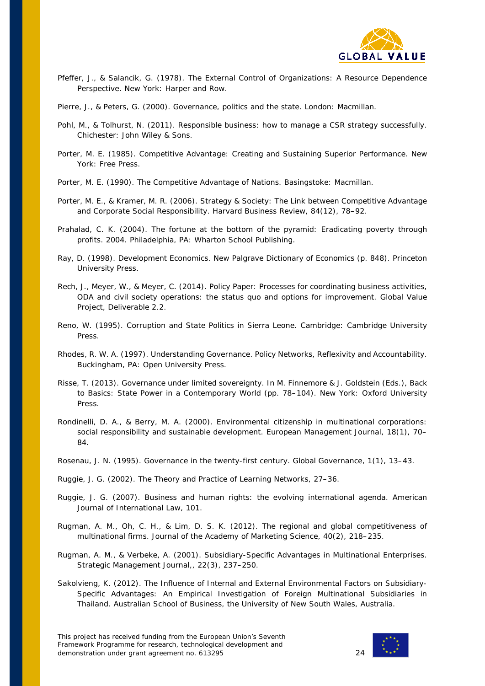

- Pfeffer, J., & Salancik, G. (1978). *The External Control of Organizations: A Resource Dependence Perspective*. New York: Harper and Row.
- Pierre, J., & Peters, G. (2000). *Governance, politics and the state*. London: Macmillan.
- Pohl, M., & Tolhurst, N. (2011). *Responsible business: how to manage a CSR strategy successfully*. Chichester: John Wiley & Sons.
- Porter, M. E. (1985). *Competitive Advantage: Creating and Sustaining Superior Performance*. New York: Free Press.
- Porter, M. E. (1990). *The Competitive Advantage of Nations*. Basingstoke: Macmillan.
- Porter, M. E., & Kramer, M. R. (2006). Strategy & Society: The Link between Competitive Advantage and Corporate Social Responsibility. *Harvard Business Review*, *84*(12), 78–92.
- Prahalad, C. K. (2004). The fortune at the bottom of the pyramid: Eradicating poverty through profits. 2004. Philadelphia, PA: Wharton School Publishing.
- Ray, D. (1998). *Development Economics*. *New Palgrave Dictionary of Economics* (p. 848). Princeton University Press.
- Rech, J., Meyer, W., & Meyer, C. (2014). *Policy Paper: Processes for coordinating business activities, ODA and civil society operations: the status quo and options for improvement*. Global Value Project, Deliverable 2.2.
- Reno, W. (1995). *Corruption and State Politics in Sierra Leone*. Cambridge: Cambridge University Press.
- Rhodes, R. W. A. (1997). *Understanding Governance. Policy Networks, Reflexivity and Accountability*. Buckingham, PA: Open University Press.
- Risse, T. (2013). Governance under limited sovereignty. In M. Finnemore & J. Goldstein (Eds.), *Back to Basics: State Power in a Contemporary World* (pp. 78–104). New York: Oxford University Press.
- Rondinelli, D. A., & Berry, M. A. (2000). Environmental citizenship in multinational corporations: social responsibility and sustainable development. *European Management Journal*, *18*(1), 70– 84.
- Rosenau, J. N. (1995). Governance in the twenty-first century. *Global Governance*, *1*(1), 13–43.

Ruggie, J. G. (2002). The Theory and Practice of Learning Networks, 27–36.

- Ruggie, J. G. (2007). Business and human rights: the evolving international agenda. *American Journal of International Law*, *101*.
- Rugman, A. M., Oh, C. H., & Lim, D. S. K. (2012). The regional and global competitiveness of multinational firms. *Journal of the Academy of Marketing Science*, *40*(2), 218–235.
- Rugman, A. M., & Verbeke, A. (2001). Subsidiary-Specific Advantages in Multinational Enterprises. *Strategic Management Journal,*, *22*(3), 237–250.
- Sakolvieng, K. (2012). *The Influence of Internal and External Environmental Factors on Subsidiary-Specific Advantages: An Empirical Investigation of Foreign Multinational Subsidiaries in Thailand*. Australian School of Business, the University of New South Wales, Australia.

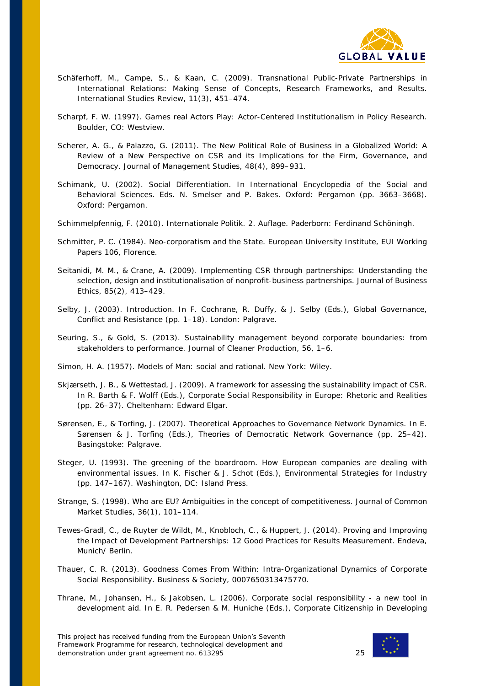

- Schäferhoff, M., Campe, S., & Kaan, C. (2009). Transnational Public-Private Partnerships in International Relations: Making Sense of Concepts, Research Frameworks, and Results. *International Studies Review*, *11*(3), 451–474.
- Scharpf, F. W. (1997). *Games real Actors Play: Actor-Centered Institutionalism in Policy Research*. Boulder, CO: Westview.
- Scherer, A. G., & Palazzo, G. (2011). The New Political Role of Business in a Globalized World: A Review of a New Perspective on CSR and its Implications for the Firm, Governance, and Democracy. *Journal of Management Studies*, *48*(4), 899–931.
- Schimank, U. (2002). Social Differentiation. In *International Encyclopedia of the Social and Behavioral Sciences. Eds. N. Smelser and P. Bakes. Oxford: Pergamon* (pp. 3663–3668). Oxford: Pergamon.
- Schimmelpfennig, F. (2010). *Internationale Politik*. 2. Auflage. Paderborn: Ferdinand Schöningh.
- Schmitter, P. C. (1984). *Neo-corporatism and the State*. European University Institute, EUI Working Papers 106, Florence.
- Seitanidi, M. M., & Crane, A. (2009). Implementing CSR through partnerships: Understanding the selection, design and institutionalisation of nonprofit-business partnerships. *Journal of Business Ethics*, *85*(2), 413–429.
- Selby, J. (2003). Introduction. In F. Cochrane, R. Duffy, & J. Selby (Eds.), *Global Governance, Conflict and Resistance* (pp. 1–18). London: Palgrave.
- Seuring, S., & Gold, S. (2013). Sustainability management beyond corporate boundaries: from stakeholders to performance. *Journal of Cleaner Production*, *56*, 1–6.
- Simon, H. A. (1957). *Models of Man: social and rational*. New York: Wiley.
- Skjærseth, J. B., & Wettestad, J. (2009). A framework for assessing the sustainability impact of CSR. In R. Barth & F. Wolff (Eds.), *Corporate Social Responsibility in Europe: Rhetoric and Realities* (pp. 26–37). Cheltenham: Edward Elgar.
- Sørensen, E., & Torfing, J. (2007). Theoretical Approaches to Governance Network Dynamics. In E. Sørensen & J. Torfing (Eds.), *Theories of Democratic Network Governance* (pp. 25–42). Basingstoke: Palgrave.
- Steger, U. (1993). The greening of the boardroom. How European companies are dealing with environmental issues. In K. Fischer & J. Schot (Eds.), *Environmental Strategies for Industry* (pp. 147–167). Washington, DC: Island Press.
- Strange, S. (1998). Who are EU? Ambiguities in the concept of competitiveness. *Journal of Common Market Studies*, *36*(1), 101–114.
- Tewes-Gradl, C., de Ruyter de Wildt, M., Knobloch, C., & Huppert, J. (2014). *Proving and Improving the Impact of Development Partnerships: 12 Good Practices for Results Measurement*. Endeva, Munich/ Berlin.
- Thauer, C. R. (2013). Goodness Comes From Within: Intra-Organizational Dynamics of Corporate Social Responsibility. *Business & Society*, 0007650313475770.
- Thrane, M., Johansen, H., & Jakobsen, L. (2006). Corporate social responsibility a new tool in development aid. In E. R. Pedersen & M. Huniche (Eds.), *Corporate Citizenship in Developing*

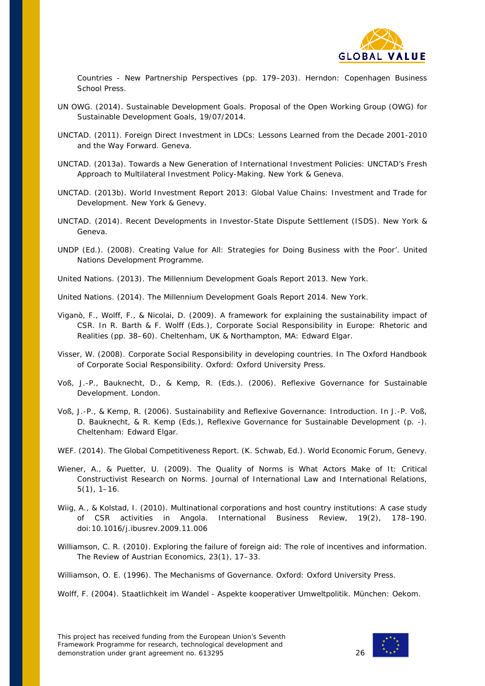

*Countries - New Partnership Perspectives* (pp. 179–203). Herndon: Copenhagen Business School Press.

- UN OWG. (2014). *Sustainable Development Goals*. Proposal of the Open Working Group (OWG) for Sustainable Development Goals, 19/07/2014.
- UNCTAD. (2011). *Foreign Direct Investment in LDCs: Lessons Learned from the Decade 2001-2010 and the Way Forward*. Geneva.
- UNCTAD. (2013a). *Towards a New Generation of International Investment Policies: UNCTAD's Fresh Approach to Multilateral Investment Policy-Making*. New York & Geneva.
- UNCTAD. (2013b). *World Investment Report 2013: Global Value Chains: Investment and Trade for Development*. New York & Genevy.
- UNCTAD. (2014). *Recent Developments in Investor-State Dispute Settlement (ISDS)*. New York & Geneva.
- UNDP (Ed.). (2008). *Creating Value for All: Strategies for Doing Business with the Poor'*. United Nations Development Programme.
- United Nations. (2013). *The Millennium Development Goals Report 2013*. New York.

United Nations. (2014). *The Millennium Development Goals Report 2014*. New York.

- Viganò, F., Wolff, F., & Nicolai, D. (2009). A framework for explaining the sustainability impact of CSR. In R. Barth & F. Wolff (Eds.), *Corporate Social Responsibility in Europe: Rhetoric and Realities* (pp. 38–60). Cheltenham, UK & Northampton, MA: Edward Elgar.
- Visser, W. (2008). Corporate Social Responsibility in developing countries. In *The Oxford Handbook of Corporate Social Responsibility*. Oxford: Oxford University Press.
- Voß, J.-P., Bauknecht, D., & Kemp, R. (Eds.). (2006). *Reflexive Governance for Sustainable Development*. London.
- Voß, J.-P., & Kemp, R. (2006). Sustainability and Reflexive Governance: Introduction. In J.-P. Voß, D. Bauknecht, & R. Kemp (Eds.), *Reflexive Governance for Sustainable Development* (p. -). Cheltenham: Edward Elgar.
- WEF. (2014). *The Global Competitiveness Report*. (K. Schwab, Ed.). World Economic Forum, Genevy.
- Wiener, A., & Puetter, U. (2009). The Quality of Norms is What Actors Make of It: Critical Constructivist Research on Norms. *Journal of International Law and International Relations*, *5*(1), 1–16.
- Wiig, A., & Kolstad, I. (2010). Multinational corporations and host country institutions: A case study of CSR activities in Angola. *International Business Review*, *19*(2), 178–190. doi:10.1016/j.ibusrev.2009.11.006
- Williamson, C. R. (2010). Exploring the failure of foreign aid: The role of incentives and information. *The Review of Austrian Economics*, *23*(1), 17–33.

Williamson, O. E. (1996). *The Mechanisms of Governance*. Oxford: Oxford University Press.

Wolff, F. (2004). *Staatlichkeit im Wandel - Aspekte kooperativer Umweltpolitik*. München: Oekom.